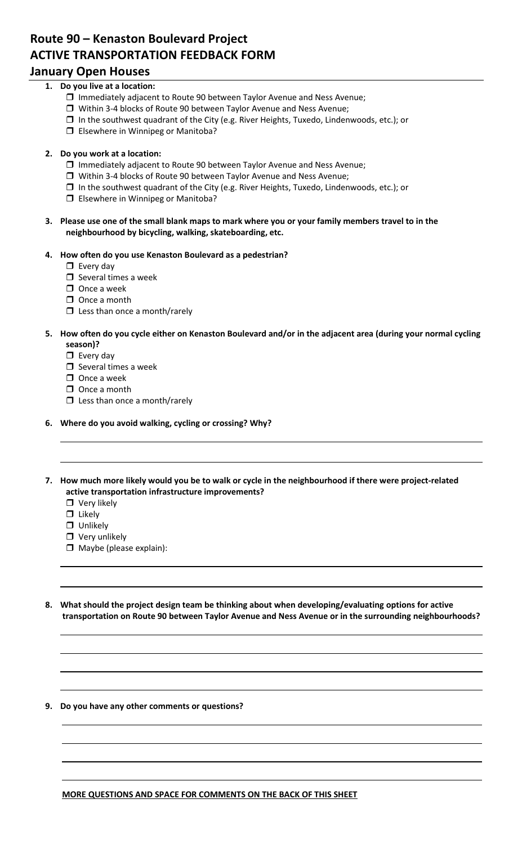# Route 90 – Kenaston Boulevard Project ACTIVE TRANSPORTATION FEEDBACK FORM January Open Houses

## 1. Do you live at a location:

- $\Box$  Immediately adjacent to Route 90 between Taylor Avenue and Ness Avenue;
- Within 3-4 blocks of Route 90 between Taylor Avenue and Ness Avenue;
- $\Box$  In the southwest quadrant of the City (e.g. River Heights, Tuxedo, Lindenwoods, etc.); or
- **I** Elsewhere in Winnipeg or Manitoba?

### 2. Do you work at a location:

- Immediately adjacent to Route 90 between Taylor Avenue and Ness Avenue;
- □ Within 3-4 blocks of Route 90 between Taylor Avenue and Ness Avenue;
- $\Box$  In the southwest quadrant of the City (e.g. River Heights, Tuxedo, Lindenwoods, etc.); or
- **I** Elsewhere in Winnipeg or Manitoba?
- 3. Please use one of the small blank maps to mark where you or your family members travel to in the neighbourhood by bicycling, walking, skateboarding, etc.

### 4. How often do you use Kenaston Boulevard as a pedestrian?

- $\Box$  Every day
- $\square$  Several times a week
- $\Box$  Once a week
- □ Once a month
- $\Box$  Less than once a month/rarely
- 5. How often do you cycle either on Kenaston Boulevard and/or in the adjacent area (during your normal cycling season)?
	- $\Box$  Every day
	- $\square$  Several times a week
	- $\Box$  Once a week
	- $\Box$  Once a month
	- $\square$  Less than once a month/rarely
- 6. Where do you avoid walking, cycling or crossing? Why?
- 7. How much more likely would you be to walk or cycle in the neighbourhood if there were project-related active transportation infrastructure improvements?
	- **D** Very likely
	- $\Box$  Likely
	- **D** Unlikely
	- **D** Very unlikely
	- Maybe (please explain):

8. What should the project design team be thinking about when developing/evaluating options for active transportation on Route 90 between Taylor Avenue and Ness Avenue or in the surrounding neighbourhoods?

### 9. Do you have any other comments or questions?

MORE QUESTIONS AND SPACE FOR COMMENTS ON THE BACK OF THIS SHEET